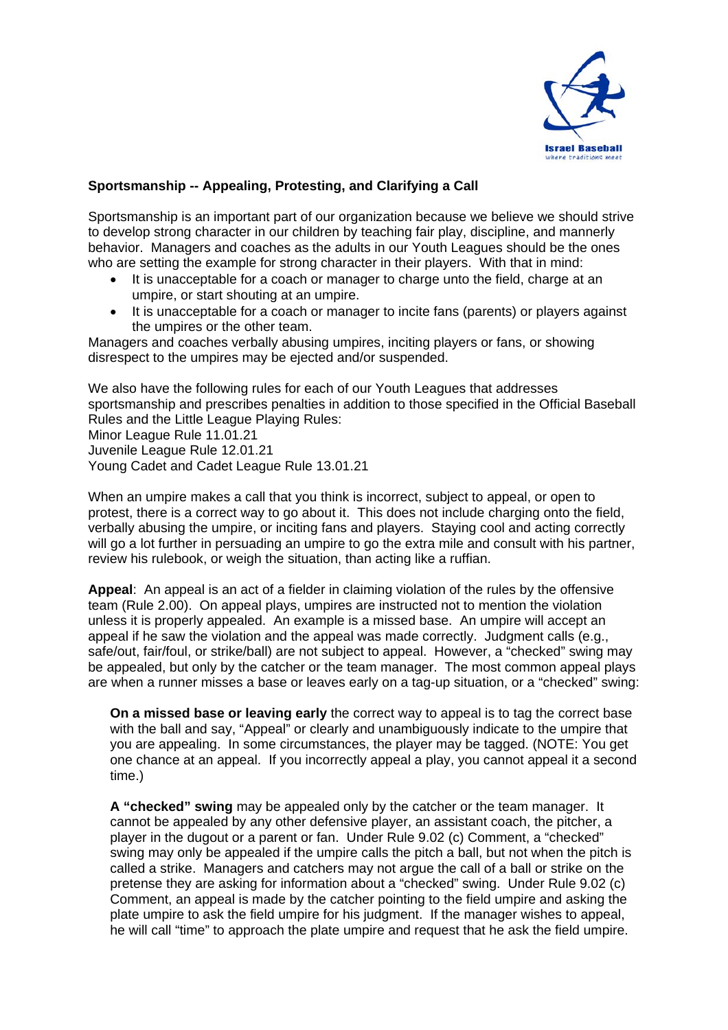

## **Sportsmanship -- Appealing, Protesting, and Clarifying a Call**

Sportsmanship is an important part of our organization because we believe we should strive to develop strong character in our children by teaching fair play, discipline, and mannerly behavior. Managers and coaches as the adults in our Youth Leagues should be the ones who are setting the example for strong character in their players. With that in mind:

- It is unacceptable for a coach or manager to charge unto the field, charge at an umpire, or start shouting at an umpire.
- It is unacceptable for a coach or manager to incite fans (parents) or players against the umpires or the other team.

Managers and coaches verbally abusing umpires, inciting players or fans, or showing disrespect to the umpires may be ejected and/or suspended.

We also have the following rules for each of our Youth Leagues that addresses sportsmanship and prescribes penalties in addition to those specified in the Official Baseball Rules and the Little League Playing Rules: Minor League Rule 11.01.21 Juvenile League Rule 12.01.21 Young Cadet and Cadet League Rule 13.01.21

When an umpire makes a call that you think is incorrect, subject to appeal, or open to protest, there is a correct way to go about it. This does not include charging onto the field, verbally abusing the umpire, or inciting fans and players. Staying cool and acting correctly will go a lot further in persuading an umpire to go the extra mile and consult with his partner, review his rulebook, or weigh the situation, than acting like a ruffian.

**Appeal**: An appeal is an act of a fielder in claiming violation of the rules by the offensive team (Rule 2.00). On appeal plays, umpires are instructed not to mention the violation unless it is properly appealed. An example is a missed base. An umpire will accept an appeal if he saw the violation and the appeal was made correctly. Judgment calls (e.g., safe/out, fair/foul, or strike/ball) are not subject to appeal. However, a "checked" swing may be appealed, but only by the catcher or the team manager. The most common appeal plays are when a runner misses a base or leaves early on a tag-up situation, or a "checked" swing:

**On a missed base or leaving early** the correct way to appeal is to tag the correct base with the ball and say, "Appeal" or clearly and unambiguously indicate to the umpire that you are appealing. In some circumstances, the player may be tagged. (NOTE: You get one chance at an appeal. If you incorrectly appeal a play, you cannot appeal it a second time.)

**A "checked" swing** may be appealed only by the catcher or the team manager. It cannot be appealed by any other defensive player, an assistant coach, the pitcher, a player in the dugout or a parent or fan. Under Rule 9.02 (c) Comment, a "checked" swing may only be appealed if the umpire calls the pitch a ball, but not when the pitch is called a strike. Managers and catchers may not argue the call of a ball or strike on the pretense they are asking for information about a "checked" swing. Under Rule 9.02 (c) Comment, an appeal is made by the catcher pointing to the field umpire and asking the plate umpire to ask the field umpire for his judgment. If the manager wishes to appeal, he will call "time" to approach the plate umpire and request that he ask the field umpire.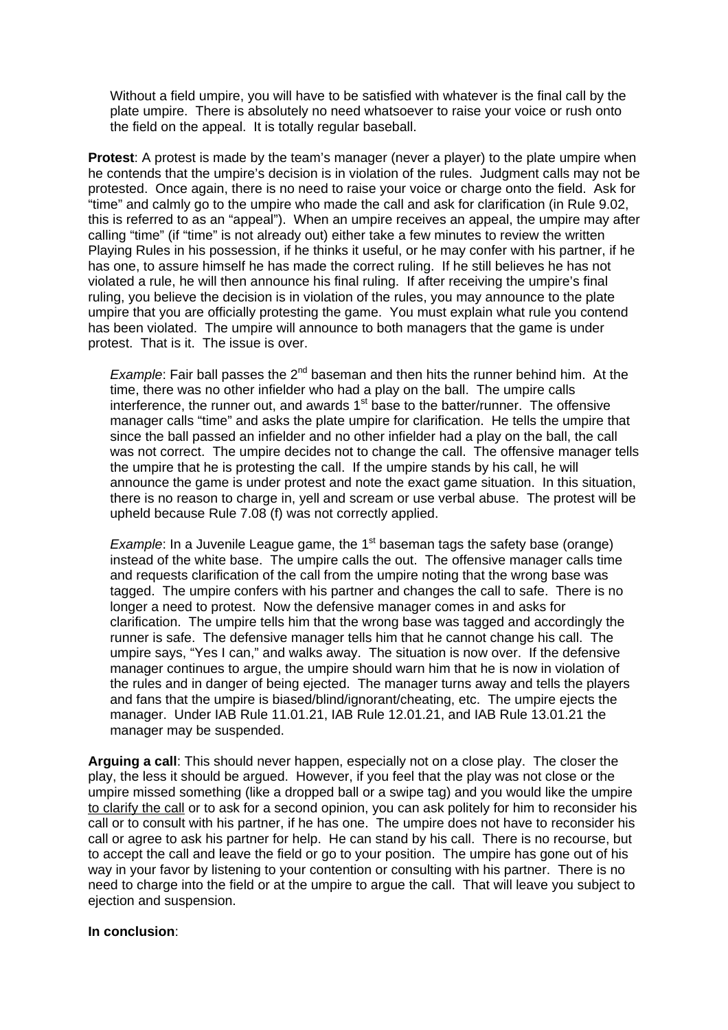Without a field umpire, you will have to be satisfied with whatever is the final call by the plate umpire. There is absolutely no need whatsoever to raise your voice or rush onto the field on the appeal. It is totally regular baseball.

**Protest**: A protest is made by the team's manager (never a player) to the plate umpire when he contends that the umpire's decision is in violation of the rules. Judgment calls may not be protested. Once again, there is no need to raise your voice or charge onto the field. Ask for "time" and calmly go to the umpire who made the call and ask for clarification (in Rule 9.02, this is referred to as an "appeal"). When an umpire receives an appeal, the umpire may after calling "time" (if "time" is not already out) either take a few minutes to review the written Playing Rules in his possession, if he thinks it useful, or he may confer with his partner, if he has one, to assure himself he has made the correct ruling. If he still believes he has not violated a rule, he will then announce his final ruling. If after receiving the umpire's final ruling, you believe the decision is in violation of the rules, you may announce to the plate umpire that you are officially protesting the game. You must explain what rule you contend has been violated. The umpire will announce to both managers that the game is under protest. That is it. The issue is over.

*Example*: Fair ball passes the 2<sup>nd</sup> baseman and then hits the runner behind him. At the time, there was no other infielder who had a play on the ball. The umpire calls interference, the runner out, and awards 1<sup>st</sup> base to the batter/runner. The offensive manager calls "time" and asks the plate umpire for clarification. He tells the umpire that since the ball passed an infielder and no other infielder had a play on the ball, the call was not correct. The umpire decides not to change the call. The offensive manager tells the umpire that he is protesting the call. If the umpire stands by his call, he will announce the game is under protest and note the exact game situation. In this situation, there is no reason to charge in, yell and scream or use verbal abuse. The protest will be upheld because Rule 7.08 (f) was not correctly applied.

*Example*: In a Juvenile League game, the 1<sup>st</sup> baseman tags the safety base (orange) instead of the white base. The umpire calls the out. The offensive manager calls time and requests clarification of the call from the umpire noting that the wrong base was tagged. The umpire confers with his partner and changes the call to safe. There is no longer a need to protest. Now the defensive manager comes in and asks for clarification. The umpire tells him that the wrong base was tagged and accordingly the runner is safe. The defensive manager tells him that he cannot change his call. The umpire says, "Yes I can," and walks away. The situation is now over. If the defensive manager continues to argue, the umpire should warn him that he is now in violation of the rules and in danger of being ejected. The manager turns away and tells the players and fans that the umpire is biased/blind/ignorant/cheating, etc. The umpire ejects the manager. Under IAB Rule 11.01.21, IAB Rule 12.01.21, and IAB Rule 13.01.21 the manager may be suspended.

**Arguing a call**: This should never happen, especially not on a close play. The closer the play, the less it should be argued. However, if you feel that the play was not close or the umpire missed something (like a dropped ball or a swipe tag) and you would like the umpire to clarify the call or to ask for a second opinion, you can ask politely for him to reconsider his call or to consult with his partner, if he has one. The umpire does not have to reconsider his call or agree to ask his partner for help. He can stand by his call. There is no recourse, but to accept the call and leave the field or go to your position. The umpire has gone out of his way in your favor by listening to your contention or consulting with his partner. There is no need to charge into the field or at the umpire to argue the call. That will leave you subject to ejection and suspension.

## **In conclusion**: